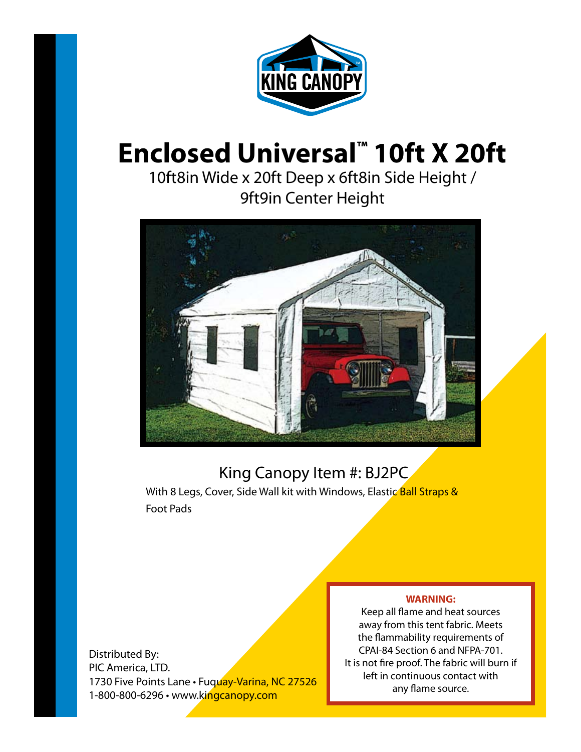

## **Enclosed Universal™ 10ft X 20ft**

10ft8in Wide x 20ft Deep x 6ft8in Side Height / 9ft9in Center Height



### King Canopy Item #: BJ2PC

With 8 Legs, Cover, Side Wall kit with Windows, Elastic Ball Straps & Foot Pads

Distributed By: PIC America, LTD. 1730 Five Points Lane · Fuquay-Varina, NC 27526 1-800-800-6296 • www.kingcanopy.com

#### **WARNING:**

Keep all flame and heat sources away from this tent fabric. Meets the flammability requirements of CPAI-84 Section 6 and NFPA-701. It is not fire proof. The fabric will burn if left in continuous contact with any flame source.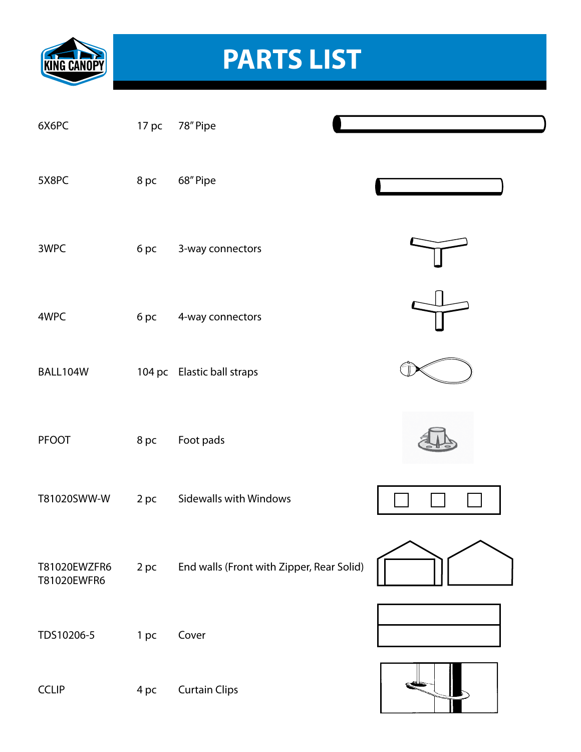

### **PARTS LIST**

| 6X6PC                       | 17 <sub>pc</sub> | 78" Pipe                                  |  |
|-----------------------------|------------------|-------------------------------------------|--|
| 5X8PC                       | 8 pc             | 68" Pipe                                  |  |
| 3WPC                        | 6 pc             | 3-way connectors                          |  |
| 4WPC                        | 6 pc             | 4-way connectors                          |  |
| BALL104W                    |                  | 104 pc Elastic ball straps                |  |
| <b>PFOOT</b>                | 8 pc             | Foot pads                                 |  |
| T81020SWW-W                 | 2 pc             | <b>Sidewalls with Windows</b>             |  |
| T81020EWZFR6<br>T81020EWFR6 | 2 pc             | End walls (Front with Zipper, Rear Solid) |  |
| TDS10206-5                  | 1 pc             | Cover                                     |  |
| <b>CCLIP</b>                | 4 pc             | <b>Curtain Clips</b>                      |  |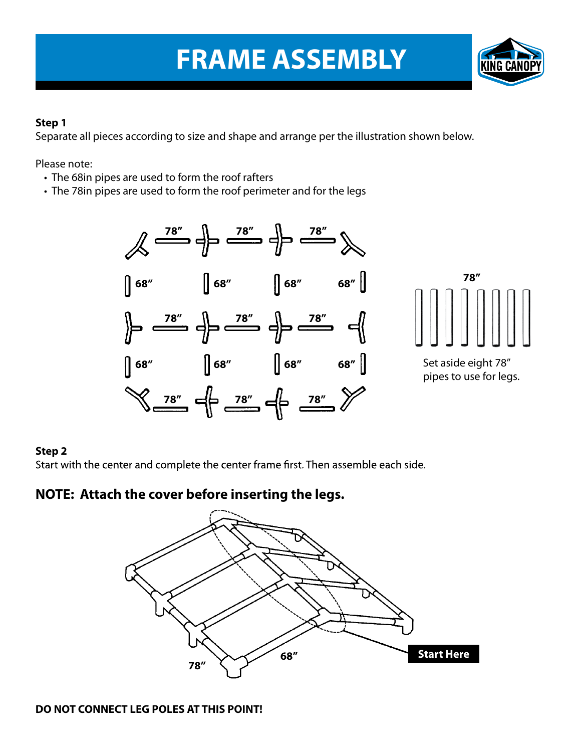### **FRAME ASSEMBLY**



#### **Step 1**

Separate all pieces according to size and shape and arrange per the illustration shown below.

Please note:

- The 68in pipes are used to form the roof rafters
- The 78in pipes are used to form the roof perimeter and for the legs





Set aside eight 78" pipes to use for legs.

#### **Step 2**

Start with the center and complete the center frame first. Then assemble each side.

### **NOTE: Attach the cover before inserting the legs.**

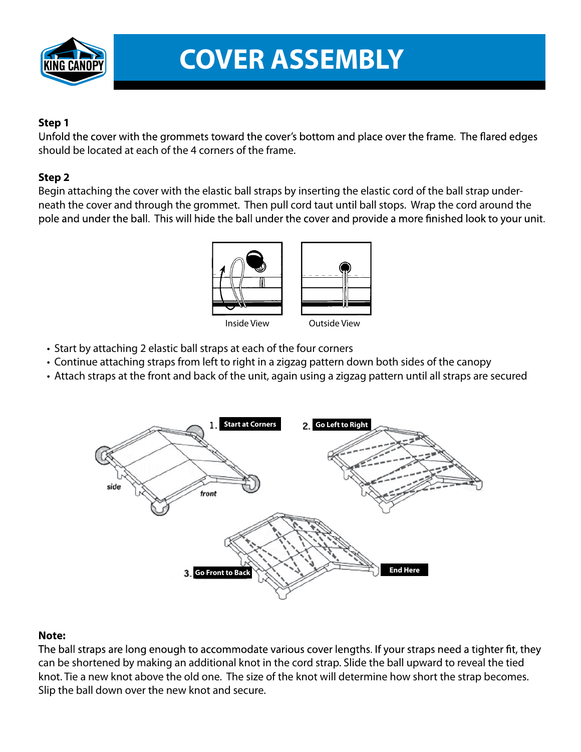

### **COVER ASSEMBLY**

#### **Step 1**

Unfold the cover with the grommets toward the cover's bottom and place over the frame. The flared edges should be located at each of the 4 corners of the frame.

#### **Step 2**

Begin attaching the cover with the elastic ball straps by inserting the elastic cord of the ball strap underneath the cover and through the grommet. Then pull cord taut until ball stops. Wrap the cord around the pole and under the ball. This will hide the ball under the cover and provide a more finished look to your unit.



- Start by attaching 2 elastic ball straps at each of the four corners
- Continue attaching straps from left to right in a zigzag pattern down both sides of the canopy
- Attach straps at the front and back of the unit, again using a zigzag pattern until all straps are secured



#### **Note:**

The ball straps are long enough to accommodate various cover lengths. If your straps need a tighter fit, they can be shortened by making an additional knot in the cord strap. Slide the ball upward to reveal the tied knot. Tie a new knot above the old one. The size of the knot will determine how short the strap becomes. Slip the ball down over the new knot and secure.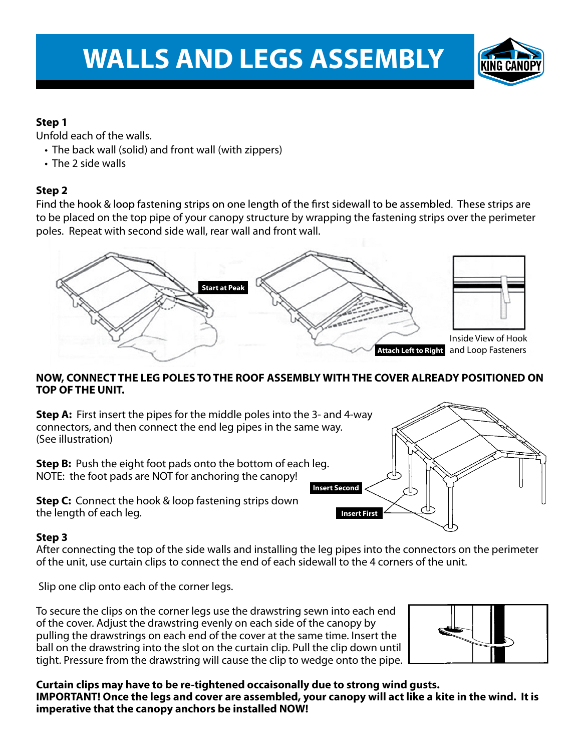# **WALLS AND LEGS ASSEMBLY**



#### **Step 1**

Unfold each of the walls.

- The back wall (solid) and front wall (with zippers)
- The 2 side walls

#### **Step 2**

Find the hook & loop fastening strips on one length of the first sidewall to be assembled. These strips are to be placed on the top pipe of your canopy structure by wrapping the fastening strips over the perimeter poles. Repeat with second side wall, rear wall and front wall.



#### **NOW, CONNECT THE LEG POLES TO THE ROOF ASSEMBLY WITHTHE COVER ALREADY POSITIONED ON TOP OF THE UNIT.**

**Step A:** First insert the pipes for the middle poles into the 3- and 4-way connectors, and then connect the end leg pipes in the same way. (See illustration)

**Step B:** Push the eight foot pads onto the bottom of each leg. NOTE: the foot pads are NOT for anchoring the canopy!

**Step C:** Connect the hook & loop fastening strips down the length of each leg.

#### **Step 3**

After connecting the top of the side walls and installing the leg pipes into the connectors on the perimeter of the unit, use curtain clips to connect the end of each sidewall to the 4 corners of the unit.

Slip one clip onto each of the corner legs.

To secure the clips on the corner legs use the drawstring sewn into each end of the cover. Adjust the drawstring evenly on each side of the canopy by pulling the drawstrings on each end of the cover at the same time. Insert the ball on the drawstring into the slot on the curtain clip. Pull the clip down until tight. Pressure from the drawstring will cause the clip to wedge onto the pipe.



**Curtain clips may have to be re-tightened occaisonally due to strong wind gusts. IMPORTANT! Once the legs and cover are assembled, your canopy will act like a kite in the wind. It is imperative that the canopy anchors be installed NOW!**

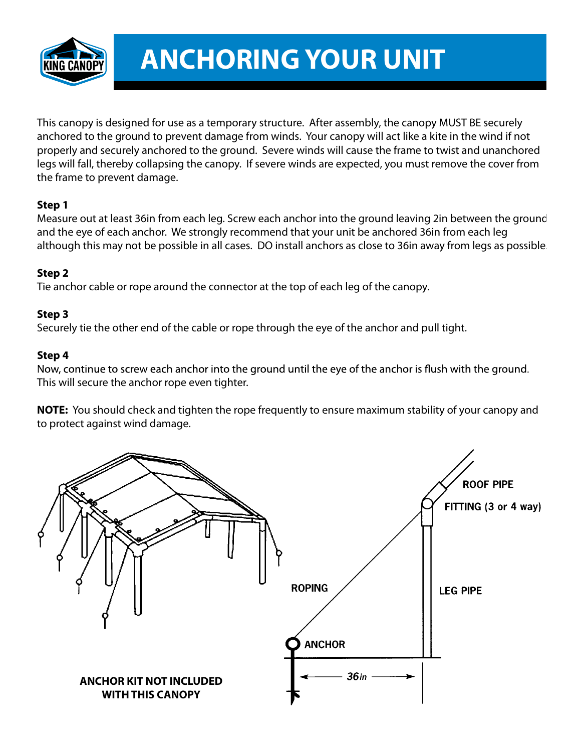

### **ANCHORINGYOUR UNIT**

This canopy is designed for use as a temporary structure. After assembly, the canopy MUST BE securely anchored to the ground to prevent damage from winds. Your canopy will act like a kite in the wind if not properly and securely anchored to the ground. Severe winds will cause the frame to twist and unanchored legs will fall, thereby collapsing the canopy. If severe winds are expected, you must remove the cover from the frame to prevent damage.

#### **Step 1**

Measure out at least 36in from each leg. Screw each anchor into the ground leaving 2in between the ground and the eye of each anchor. We strongly recommend that your unit be anchored 36in from each leg although this may not be possible in all cases. DO install anchors as close to 36in away from legs as possible.

#### **Step 2**

Tie anchor cable or rope around the connector at the top of each leg of the canopy.

#### **Step 3**

Securely tie the other end of the cable or rope through the eye of the anchor and pull tight.

#### **Step 4**

Now, continue to screw each anchor into the ground until the eye of the anchor is flush with the ground. This will secure the anchor rope even tighter.

**NOTE:** You should check and tighten the rope frequently to ensure maximum stability of your canopy and to protect against wind damage.

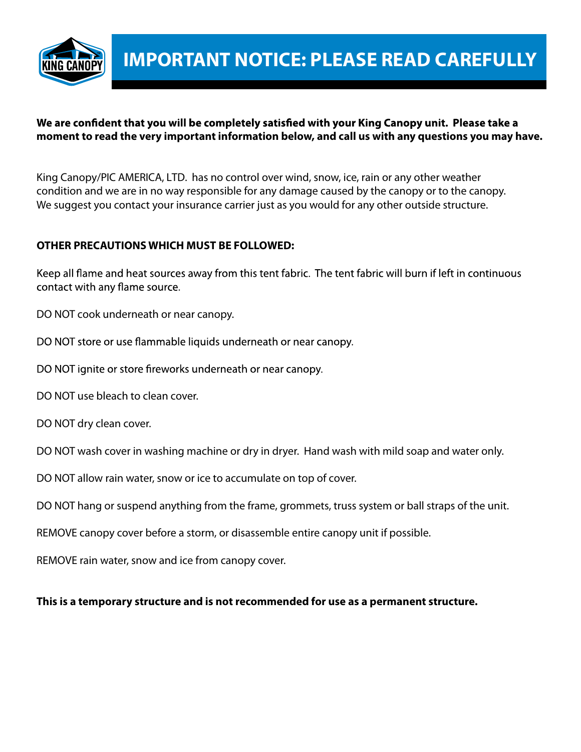

#### We are confident that you will be completely satisfied with your King Canopy unit. Please take a **moment to read the very important information below, and call us with any questions you may have.**

King Canopy/PIC AMERICA, LTD. has no control over wind, snow, ice, rain or any other weather condition and we are in no way responsible for any damage caused by the canopy or to the canopy. We suggest you contact your insurance carrier just as you would for any other outside structure.

#### **OTHER PRECAUTIONS WHICH MUST BE FOLLOWED:**

Keep all flame and heat sources away from this tent fabric. The tent fabric will burn if left in continuous contact with any flame source.

DO NOT cook underneath or near canopy.

- DO NOT store or use flammable liquids underneath or near canopy.
- DO NOT ignite or store fireworks underneath or near canopy.
- DO NOT use bleach to clean cover.
- DO NOT dry clean cover.
- DO NOT wash cover in washing machine or dry in dryer. Hand wash with mild soap and water only.
- DO NOT allow rain water, snow or ice to accumulate on top of cover.
- DO NOT hang or suspend anything from the frame, grommets, truss system or ball straps of the unit.
- REMOVE canopy cover before a storm, or disassemble entire canopy unit if possible.

REMOVE rain water, snow and ice from canopy cover.

#### **This is a temporary structure and is not recommended for use as a permanent structure.**